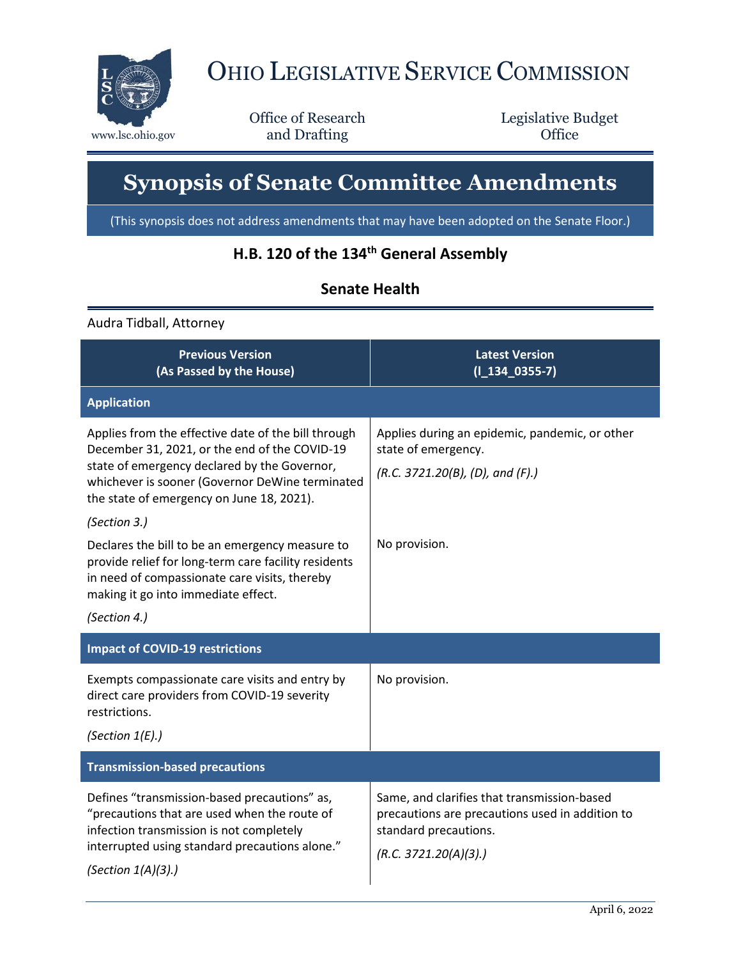

## OHIO LEGISLATIVE SERVICE COMMISSION

Office of Research www.lsc.ohio.gov **and Drafting Office** 

Legislative Budget

## **Synopsis of Senate Committee Amendments**

(This synopsis does not address amendments that may have been adopted on the Senate Floor.)

## **H.B. 120 of the 134th General Assembly**

## **Senate Health**

Audra Tidball, Attorney

| <b>Previous Version</b><br>(As Passed by the House)                                                                                                                                                                                                  | <b>Latest Version</b><br>$(I_134_0355-7)$                                                                                                        |
|------------------------------------------------------------------------------------------------------------------------------------------------------------------------------------------------------------------------------------------------------|--------------------------------------------------------------------------------------------------------------------------------------------------|
| <b>Application</b>                                                                                                                                                                                                                                   |                                                                                                                                                  |
| Applies from the effective date of the bill through<br>December 31, 2021, or the end of the COVID-19<br>state of emergency declared by the Governor,<br>whichever is sooner (Governor DeWine terminated<br>the state of emergency on June 18, 2021). | Applies during an epidemic, pandemic, or other<br>state of emergency.<br>(R.C. 3721.20(B), (D), and (F).)                                        |
| (Section 3.)<br>Declares the bill to be an emergency measure to<br>provide relief for long-term care facility residents<br>in need of compassionate care visits, thereby<br>making it go into immediate effect.<br>(Section 4.)                      | No provision.                                                                                                                                    |
| <b>Impact of COVID-19 restrictions</b>                                                                                                                                                                                                               |                                                                                                                                                  |
| Exempts compassionate care visits and entry by<br>direct care providers from COVID-19 severity<br>restrictions.<br>(Section $1(E)$ .)                                                                                                                | No provision.                                                                                                                                    |
| <b>Transmission-based precautions</b>                                                                                                                                                                                                                |                                                                                                                                                  |
| Defines "transmission-based precautions" as,<br>"precautions that are used when the route of<br>infection transmission is not completely<br>interrupted using standard precautions alone."<br>(Section $1(A)(3)$ .)                                  | Same, and clarifies that transmission-based<br>precautions are precautions used in addition to<br>standard precautions.<br>(R.C. 3721.20(A)(3).) |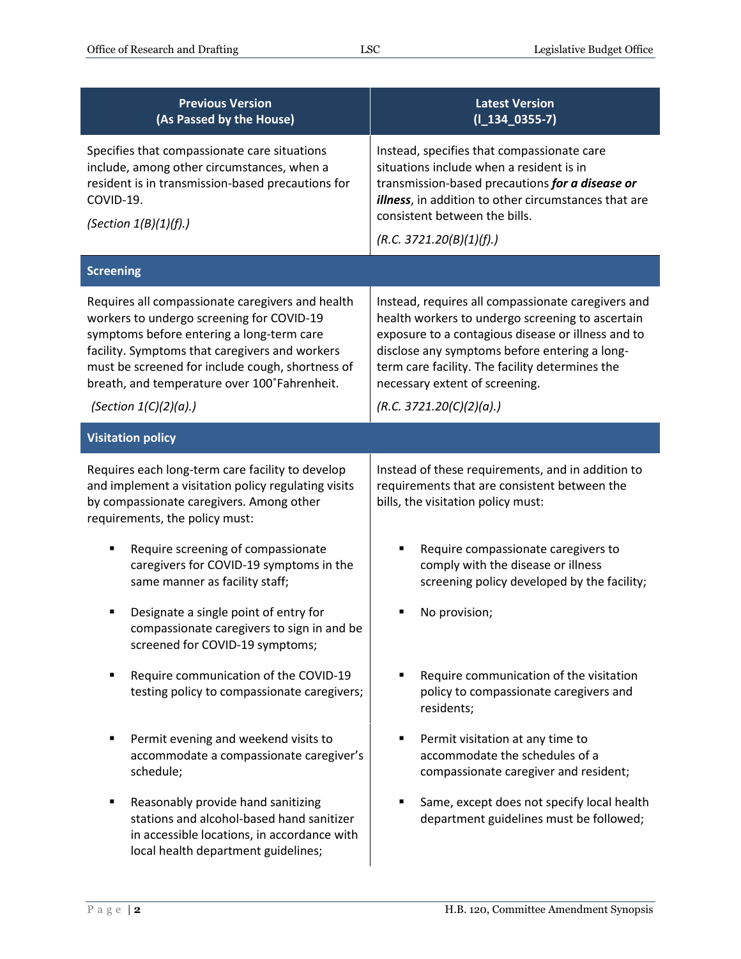| <b>Previous Version</b><br>(As Passed by the House)                                                                                                                                                                                                                                              | <b>Latest Version</b><br>$(I_134_0355-7)$                                                                                                                                                                                                                                                          |  |
|--------------------------------------------------------------------------------------------------------------------------------------------------------------------------------------------------------------------------------------------------------------------------------------------------|----------------------------------------------------------------------------------------------------------------------------------------------------------------------------------------------------------------------------------------------------------------------------------------------------|--|
| Specifies that compassionate care situations<br>include, among other circumstances, when a<br>resident is in transmission-based precautions for<br>COVID-19.<br>(Section 1(B)(1)(f).)                                                                                                            | Instead, specifies that compassionate care<br>situations include when a resident is in<br>transmission-based precautions for a disease or<br>illness, in addition to other circumstances that are<br>consistent between the bills.                                                                 |  |
|                                                                                                                                                                                                                                                                                                  | (R.C. 3721.20(B)(1)(f).)                                                                                                                                                                                                                                                                           |  |
| <b>Screening</b>                                                                                                                                                                                                                                                                                 |                                                                                                                                                                                                                                                                                                    |  |
| Requires all compassionate caregivers and health<br>workers to undergo screening for COVID-19<br>symptoms before entering a long-term care<br>facility. Symptoms that caregivers and workers<br>must be screened for include cough, shortness of<br>breath, and temperature over 100°Fahrenheit. | Instead, requires all compassionate caregivers and<br>health workers to undergo screening to ascertain<br>exposure to a contagious disease or illness and to<br>disclose any symptoms before entering a long-<br>term care facility. The facility determines the<br>necessary extent of screening. |  |
| (Section $1(C)(2)(a)$ .)                                                                                                                                                                                                                                                                         | (R.C. 3721.20(C)(2)(a).)                                                                                                                                                                                                                                                                           |  |
| <b>Visitation policy</b>                                                                                                                                                                                                                                                                         |                                                                                                                                                                                                                                                                                                    |  |
| Requires each long-term care facility to develop<br>and implement a visitation policy regulating visits<br>by compassionate caregivers. Among other<br>requirements, the policy must:                                                                                                            | Instead of these requirements, and in addition to<br>requirements that are consistent between the<br>bills, the visitation policy must:                                                                                                                                                            |  |
| Require screening of compassionate<br>caregivers for COVID-19 symptoms in the<br>same manner as facility staff;                                                                                                                                                                                  | Require compassionate caregivers to<br>comply with the disease or illness<br>screening policy developed by the facility;                                                                                                                                                                           |  |
| Designate a single point of entry for<br>compassionate caregivers to sign in and be<br>screened for COVID-19 symptoms;                                                                                                                                                                           | No provision;                                                                                                                                                                                                                                                                                      |  |
| Require communication of the COVID-19<br>testing policy to compassionate caregivers;                                                                                                                                                                                                             | Require communication of the visitation<br>policy to compassionate caregivers and<br>residents;                                                                                                                                                                                                    |  |
| Permit evening and weekend visits to<br>accommodate a compassionate caregiver's<br>schedule;                                                                                                                                                                                                     | Permit visitation at any time to<br>accommodate the schedules of a<br>compassionate caregiver and resident;                                                                                                                                                                                        |  |
| Reasonably provide hand sanitizing<br>п<br>stations and alcohol-based hand sanitizer<br>in accessible locations, in accordance with<br>local health department guidelines;                                                                                                                       | Same, except does not specify local health<br>department guidelines must be followed;                                                                                                                                                                                                              |  |